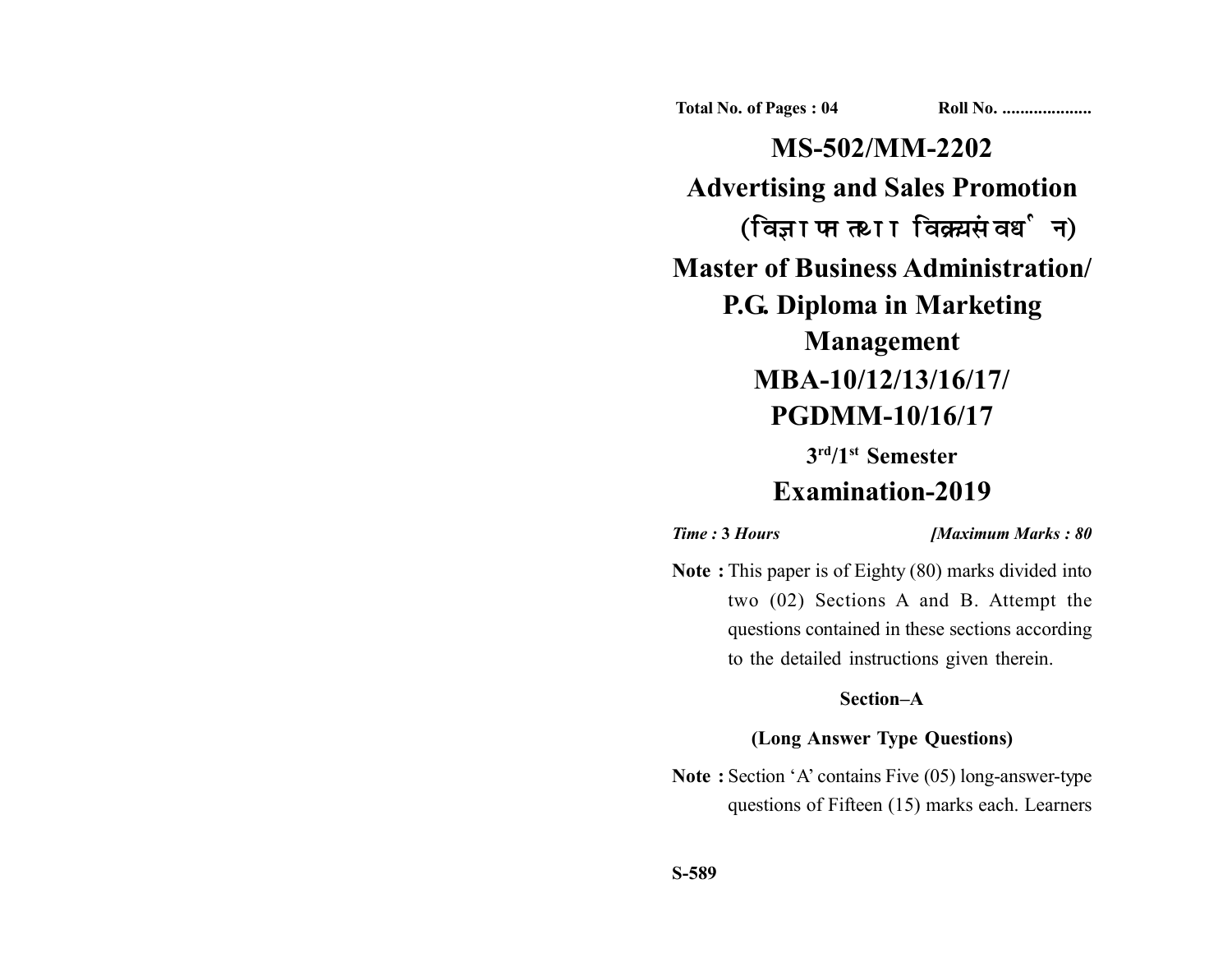**Total No. of Pages : 04 Roll No. ...................** 

**MS-502/MM-2202 Advertising and Sales Promotion** (विज्ञापन तथा विक्रय संवर्धन) **Master of Business Administration/ P.G. Diploma in Marketing Management MBA-10/12/13/16/17/ PGDMM-10/16/17**

**3rd/1st Semester**

# **Examination-2019**

*Time :* **3** *Hours [Maximum Marks : 80*

**Note :** This paper is of Eighty (80) marks divided into two (02) Sections A and B. Attempt the questions contained in these sections according to the detailed instructions given therein.

## **Section–A**

## **(Long Answer Type Questions)**

**Note :** Section 'A' contains Five (05) long-answer-type questions of Fifteen (15) marks each. Learners